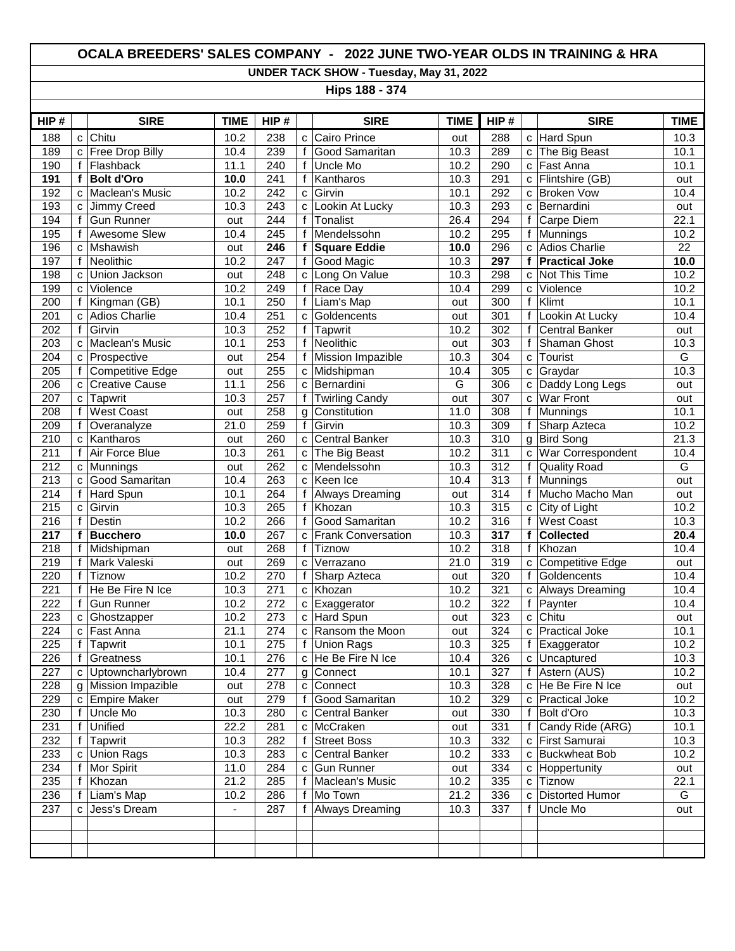## **OCALA BREEDERS' SALES COMPANY - 2022 JUNE TWO-YEAR OLDS IN TRAINING & HRA**

**UNDER TACK SHOW - Tuesday, May 31, 2022**

**Hips 188 - 374** 

| HIP#             |             | <b>SIRE</b>             | <b>TIME</b>  | HIP#             |              | <b>SIRE</b>                    | <b>TIME</b> | HIP#       |        | <b>SIRE</b>            | <b>TIME</b>     |
|------------------|-------------|-------------------------|--------------|------------------|--------------|--------------------------------|-------------|------------|--------|------------------------|-----------------|
| 188              | $\mathbf c$ | Chitu                   | 10.2         | 238              | C            | Cairo Prince                   | out         | 288        | C      | Hard Spun              | 10.3            |
| 189              | C           | <b>Free Drop Billy</b>  | 10.4         | 239              | $\mathsf{f}$ | Good Samaritan                 | 10.3        | 289        | C      | The Big Beast          | 10.1            |
| 190              | f           | Flashback               | 11.1         | 240              | f            | Uncle Mo                       | 10.2        | 290        | C      | Fast Anna              | 10.1            |
| 191              | f           | <b>Bolt d'Oro</b>       | 10.0         | $\overline{241}$ | f            | Kantharos                      | 10.3        | 291        | C      | Flintshire (GB)        | out             |
| 192              | C           | Maclean's Music         | 10.2         | 242              | C            | Girvin                         | 10.1        | 292        | C      | <b>Broken Vow</b>      | 10.4            |
| 193              | C           | Jimmy Creed             | 10.3         | $\overline{243}$ | c            | Lookin At Lucky                | 10.3        | 293        | C      | Bernardini             | out             |
| 194              | f           | <b>Gun Runner</b>       | out          | 244              | f            | Tonalist                       | 26.4        | 294        | f      | Carpe Diem             | 22.1            |
| 195              | f           | Awesome Slew            | 10.4         | 245              | f            | Mendelssohn                    | 10.2        | 295        | f      | Munnings               | 10.2            |
| 196              | C           | Mshawish                | out          | $\overline{246}$ | f            | <b>Square Eddie</b>            | 10.0        | 296        | C      | <b>Adios Charlie</b>   | $\overline{22}$ |
| 197              | f           | Neolithic               | 10.2         | 247              | f            | Good Magic                     | 10.3        | 297        | f      | <b>Practical Joke</b>  | 10.0            |
| 198              | C           | Union Jackson           | out          | $\overline{248}$ | c            | Long On Value                  | 10.3        | 298        | C      | Not This Time          | 10.2            |
| 199              | C           | Violence                | 10.2         | 249              | f            | Race Day                       | 10.4        | 299        | C      | Violence               | 10.2            |
| 200              | f           | Kingman (GB)            | 10.1         | 250              | f            | Liam's Map                     | out         | 300        | f      | Klimt                  | 10.1            |
| 201              | C           | <b>Adios Charlie</b>    | 10.4         | 251              | C            | Goldencents                    | out         | 301        | f      | Lookin At Lucky        | 10.4            |
| 202              | f           | Girvin                  | 10.3         | 252              | f            | Tapwrit                        | 10.2        | 302        | f      | <b>Central Banker</b>  | out             |
| 203              | C           | Maclean's Music         | 10.1         | 253              | f            | Neolithic                      | out         | 303        | f      | Shaman Ghost           | 10.3            |
| 204              | C           | Prospective             | out          | 254              | f            | Mission Impazible              | 10.3        | 304        | С      | Tourist                | G               |
| 205              | f           | <b>Competitive Edge</b> | out          | 255              | C            | Midshipman                     | 10.4        | 305        | C      | Graydar                | 10.3            |
| 206              | C           | Creative Cause          | 11.1         | 256              | C            | Bernardini                     | G           | 306        | C      | Daddy Long Legs        | out             |
| 207              | C           | Tapwrit                 | 10.3         | 257              | $\mathsf f$  | <b>Twirling Candy</b>          | out         | 307        | C      | War Front              | out             |
| 208              | f           | <b>West Coast</b>       | out          | 258              | g            | Constitution                   | 11.0        | 308        | f      | <b>Munnings</b>        | 10.1            |
| 209              | f           | Overanalyze             | 21.0         | 259              | f            | Girvin                         | 10.3        | 309        | f      | Sharp Azteca           | 10.2            |
| 210              | C           | Kantharos               | out          | 260              | C            | Central Banker                 | 10.3        | 310        | g      | <b>Bird Song</b>       | 21.3            |
| 211              | f           | Air Force Blue          | 10.3         | 261              | C            | The Big Beast                  | 10.2        | 311        | C      | War Correspondent      | 10.4            |
| 212              | C           | Munnings                | out          | 262              | C            | Mendelssohn                    | 10.3        | 312        | f      | <b>Quality Road</b>    | G               |
| $\overline{213}$ | C           | Good Samaritan          | 10.4         | 263              | c            | Keen Ice                       | 10.4        | 313        | f      | Munnings               | out             |
| 214              | f           | Hard Spun               | 10.1         | 264              | f            | <b>Always Dreaming</b>         | out         | 314        | f      | Mucho Macho Man        | out             |
| 215              | C           | Girvin                  | 10.3         | 265              | f            | Khozan                         | 10.3        | 315        | C      | City of Light          | 10.2            |
| 216              | f           | Destin                  | 10.2         | 266              | f            | Good Samaritan                 | 10.2        | 316        | f      | <b>West Coast</b>      | 10.3            |
| 217              | f           | <b>Bucchero</b>         | 10.0         | 267              | C            | <b>Frank Conversation</b>      | 10.3        | 317        | f      | <b>Collected</b>       | 20.4            |
| 218              | f           | Midshipman              | out          | $\overline{268}$ | f            | Tiznow                         | 10.2        | 318        | f      | Khozan                 | 10.4            |
| 219              | f           | Mark Valeski            | out          | 269              | C            | Verrazano                      | 21.0        | 319        | C      | Competitive Edge       | out             |
| 220              | f           | Tiznow                  | 10.2         | 270              | f            | Sharp Azteca                   | out         | 320        | f      | Goldencents            | 10.4            |
| 221              |             | He Be Fire N Ice        | 10.3         | 271              | C            | Khozan                         | 10.2        | 321        | C      | <b>Always Dreaming</b> | 10.4            |
| 222              |             | <b>Gun Runner</b>       | 10.2         | 272              | C            | Exaggerator                    | 10.2        | 322        | f      | Paynter                | 10.4            |
| 223              | C           | Ghostzapper             | 10.2         | $\overline{273}$ |              | c Hard Spun                    | out         | 323        | C      | Chitu                  | out             |
| 224              | C           | Fast Anna               | 21.1         | 274              | с            | Ransom the Moon                | out         | 324        | C      | <b>Practical Joke</b>  | 10.1            |
| 225              | f           | Tapwrit                 | 10.1         | 275              | f            | Union Rags                     | 10.3        | 325        | f      | Exaggerator            | 10.2            |
| 226              | f           | Greatness               | 10.1         | 276              |              | c He Be Fire N Ice             | 10.4        | 326        |        | c Uncaptured           | 10.3            |
| 227              |             | c Uptowncharlybrown     | 10.4         | 277              |              | g Connect                      | 10.1        | 327        | f      | Astern (AUS)           | 10.2            |
| 228              | q           | Mission Impazible       | out          | 278              |              | c Connect<br>Good Samaritan    | 10.3        | 328        | c      | He Be Fire N Ice       | out             |
| 229              |             | c Empire Maker          | out          | 279              | f            |                                | 10.2        | 329        | C      | <b>Practical Joke</b>  | 10.2            |
| 230              |             | Uncle Mo                | 10.3         | 280              | C            | Central Banker<br>McCraken     | out         | 330        | f      | Bolt d'Oro             | 10.3            |
| 231              |             | Unified                 | 22.2         | 281              | с            |                                | out         | 331        | f      | Candy Ride (ARG)       | 10.1            |
| 232              |             | Tapwrit                 | 10.3         | 282              | f            | <b>Street Boss</b>             | 10.3        | 332        | с      | First Samurai          | 10.3            |
| 233<br>234       | C           | Union Rags              | 10.3<br>11.0 | 283<br>284       | С            | Central Banker<br>c Gun Runner | 10.2        | 333<br>334 | с      | <b>Buckwheat Bob</b>   | 10.2            |
| 235              | f           | Mor Spirit              | 21.2         | 285              | f            | Maclean's Music                | out<br>10.2 | 335        | с      | Hoppertunity<br>Tiznow | out<br>22.1     |
| 236              | Ť<br>f      | Khozan<br>Liam's Map    | 10.2         | 286              | f            | Mo Town                        | 21.2        | 336        | С<br>C | <b>Distorted Humor</b> | G               |
| 237              |             | c Jess's Dream          | $\omega$ .   | 287              | f            | Always Dreaming                | 10.3        | 337        | f      | Uncle Mo               | out             |
|                  |             |                         |              |                  |              |                                |             |            |        |                        |                 |
|                  |             |                         |              |                  |              |                                |             |            |        |                        |                 |
|                  |             |                         |              |                  |              |                                |             |            |        |                        |                 |
|                  |             |                         |              |                  |              |                                |             |            |        |                        |                 |